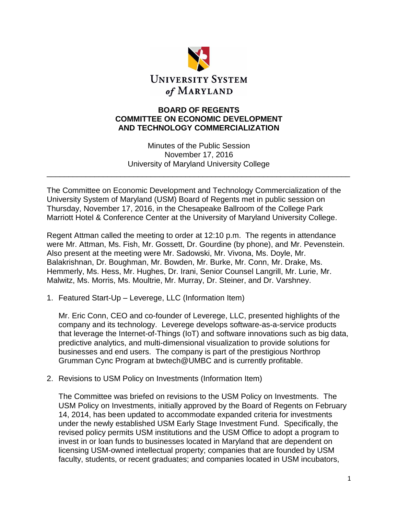

## **BOARD OF REGENTS COMMITTEE ON ECONOMIC DEVELOPMENT AND TECHNOLOGY COMMERCIALIZATION**

Minutes of the Public Session November 17, 2016 University of Maryland University College

\_\_\_\_\_\_\_\_\_\_\_\_\_\_\_\_\_\_\_\_\_\_\_\_\_\_\_\_\_\_\_\_\_\_\_\_\_\_\_\_\_\_\_\_\_\_\_\_\_\_\_\_\_\_\_\_\_\_\_\_\_\_\_\_\_\_\_\_\_\_

The Committee on Economic Development and Technology Commercialization of the University System of Maryland (USM) Board of Regents met in public session on Thursday, November 17, 2016, in the Chesapeake Ballroom of the College Park Marriott Hotel & Conference Center at the University of Maryland University College.

Regent Attman called the meeting to order at 12:10 p.m. The regents in attendance were Mr. Attman, Ms. Fish, Mr. Gossett, Dr. Gourdine (by phone), and Mr. Pevenstein. Also present at the meeting were Mr. Sadowski, Mr. Vivona, Ms. Doyle, Mr. Balakrishnan, Dr. Boughman, Mr. Bowden, Mr. Burke, Mr. Conn, Mr. Drake, Ms. Hemmerly, Ms. Hess, Mr. Hughes, Dr. Irani, Senior Counsel Langrill, Mr. Lurie, Mr. Malwitz, Ms. Morris, Ms. Moultrie, Mr. Murray, Dr. Steiner, and Dr. Varshney.

1. Featured Start-Up – Leverege, LLC (Information Item)

Mr. Eric Conn, CEO and co-founder of Leverege, LLC, presented highlights of the company and its technology. Leverege develops software-as-a-service products that leverage the Internet-of-Things (IoT) and software innovations such as big data, predictive analytics, and multi-dimensional visualization to provide solutions for businesses and end users. The company is part of the prestigious Northrop Grumman Cync Program at bwtech@UMBC and is currently profitable.

2. Revisions to USM Policy on Investments (Information Item)

The Committee was briefed on revisions to the USM Policy on Investments. The USM Policy on Investments, initially approved by the Board of Regents on February 14, 2014, has been updated to accommodate expanded criteria for investments under the newly established USM Early Stage Investment Fund. Specifically, the revised policy permits USM institutions and the USM Office to adopt a program to invest in or loan funds to businesses located in Maryland that are dependent on licensing USM-owned intellectual property; companies that are founded by USM faculty, students, or recent graduates; and companies located in USM incubators,